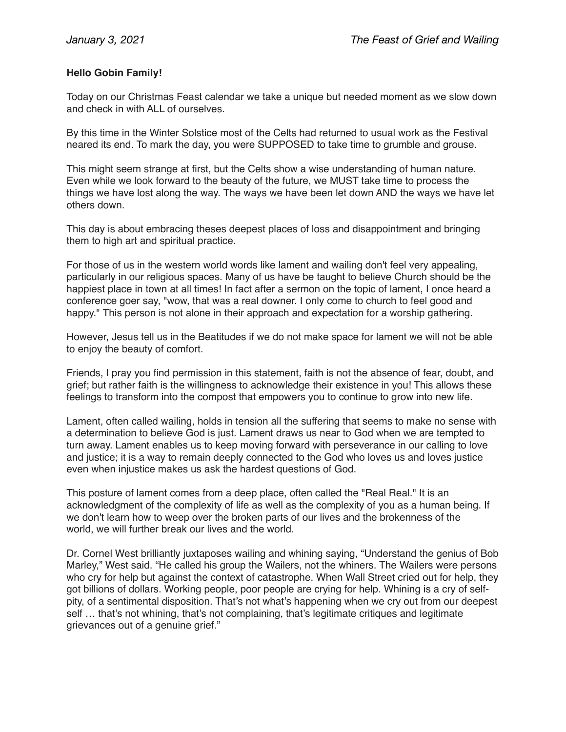## **Hello Gobin Family!**

Today on our Christmas Feast calendar we take a unique but needed moment as we slow down and check in with ALL of ourselves.

By this time in the Winter Solstice most of the Celts had returned to usual work as the Festival neared its end. To mark the day, you were SUPPOSED to take time to grumble and grouse.

This might seem strange at first, but the Celts show a wise understanding of human nature. Even while we look forward to the beauty of the future, we MUST take time to process the things we have lost along the way. The ways we have been let down AND the ways we have let others down.

This day is about embracing theses deepest places of loss and disappointment and bringing them to high art and spiritual practice.

For those of us in the western world words like lament and wailing don't feel very appealing, particularly in our religious spaces. Many of us have be taught to believe Church should be the happiest place in town at all times! In fact after a sermon on the topic of lament, I once heard a conference goer say, "wow, that was a real downer. I only come to church to feel good and happy." This person is not alone in their approach and expectation for a worship gathering.

However, Jesus tell us in the Beatitudes if we do not make space for lament we will not be able to enjoy the beauty of comfort.

Friends, I pray you find permission in this statement, faith is not the absence of fear, doubt, and grief; but rather faith is the willingness to acknowledge their existence in you! This allows these feelings to transform into the compost that empowers you to continue to grow into new life.

Lament, often called wailing, holds in tension all the suffering that seems to make no sense with a determination to believe God is just. Lament draws us near to God when we are tempted to turn away. Lament enables us to keep moving forward with perseverance in our calling to love and justice; it is a way to remain deeply connected to the God who loves us and loves justice even when injustice makes us ask the hardest questions of God.

This posture of lament comes from a deep place, often called the "Real Real." It is an acknowledgment of the complexity of life as well as the complexity of you as a human being. If we don't learn how to weep over the broken parts of our lives and the brokenness of the world, we will further break our lives and the world.

Dr. Cornel West brilliantly juxtaposes wailing and whining saying, "Understand the genius of Bob Marley," West said. "He called his group the Wailers, not the whiners. The Wailers were persons who cry for help but against the context of catastrophe. When Wall Street cried out for help, they got billions of dollars. Working people, poor people are crying for help. Whining is a cry of selfpity, of a sentimental disposition. That's not what's happening when we cry out from our deepest self ... that's not whining, that's not complaining, that's legitimate critiques and legitimate grievances out of a genuine grief."